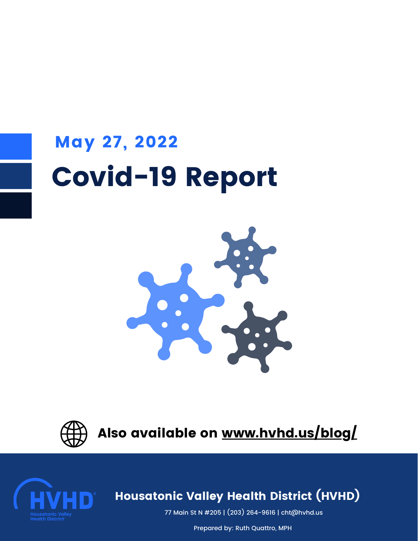# Covid-19 Report May 27, 2022





Also available on [www.hvhd.us/blog/](https://hvhd.us/blog/)



#### $\sum$  increased the Vancy Health Diction (HVIID) Housatonic Valley Health District (HVHD)

77 Main St N #205 | (203) [264-9616](https://www.google.com/search?q=pomperaug+health+district+towns&rlz=1C1GCEU_enUS945US946&oq=pomper&aqs=chrome.0.69i59j69i57j46i131i175i199i433i512j69i59j46i512j69i61l3.1451j0j7&sourceid=chrome&ie=UTF-8#) | cht@hvhd.us

10 Main Street | 860-355-6035 | healthdept@newmilford.org | www.newmilford.org Prepared by: Ruth Quattro, MPH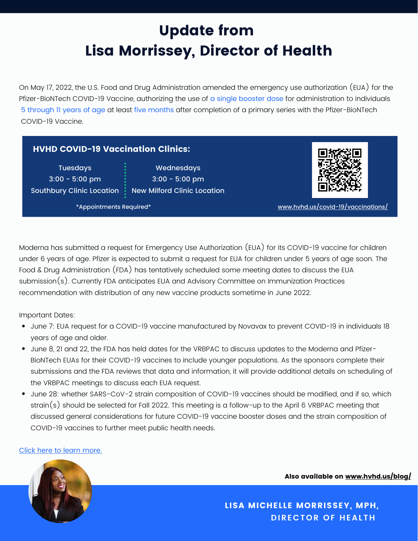### Update from Lisa Morrissey, Director of Health

On May 17, 2022, the U.S. Food and Drug Administration amended the emergency use authorization (EUA) for the Pfizer-BioNTech COVID-19 Vaccine, authorizing the use of a single booster dose for administration to individuals 5 through 11 years of age at least five months after completion of a primary series with the Pfizer-BioNTech COVID-19 Vaccine.

#### HVHD COVID-19 Vaccination Clinics:

**Tuesdays** 3:00 - 5:00 pm

Southbury Clinic Location  $\frac{1}{\epsilon}$  New Milford Clinic Location Wednesdays 3:00 - 5:00 pm



\*Appointments Required\* [www.hvhd.us/covid-19/vaccinations/](http://www.hvhd.us/covid-19/vaccinations/)

Moderna has submitted a request for Emergency Use Authorization (EUA) for its COVID-19 vaccine for children under 6 years of age. Pfizer is expected to submit a request for EUA for children under 5 years of age soon. The Food & Drug Administration (FDA) has tentatively scheduled some meeting dates to discuss the EUA submission(s). Currently FDA anticipates EUA and Advisory Committee on Immunization Practices recommendation with distribution of any new vaccine products sometime in June 2022.

Important Dates:

- June 7: EUA request for a COVID-19 vaccine manufactured by Novavax to prevent COVID-19 in individuals 18 years of age and older.
- June 8, 21 and 22, the FDA has held dates for the VRBPAC to discuss updates to the Moderna and Pfizer-BioNTech EUAs for their COVID-19 vaccines to include younger populations. As the sponsors complete their submissions and the FDA reviews that data and information, it will provide additional details on scheduling of the VRBPAC meetings to discuss each EUA request.
- June 28: whether SARS-CoV-2 strain composition of COVID-19 vaccines should be modified, and if so, which strain(s) should be selected for Fall 2022. This meeting is a follow-up to the April 6 VRBPAC meeting that discussed general considerations for future COVID-19 vaccine booster doses and the strain composition of COVID-19 vaccines to further meet public health needs.

#### Click here to learn [more.](https://portal.ct.gov/Vaccine-Portal?language=en_US)



Also available on [www.hvhd.us/blog/](https://hvhd.us/blog/)

**DIRECTOR OF HEALTH** LISA MICHELLE MORRISSEY, MPH,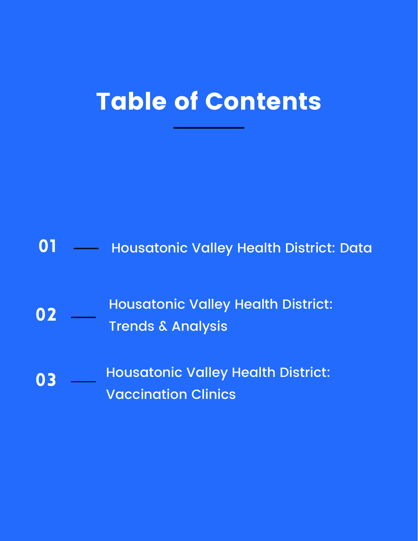## Table of Contents

#### Housatonic Valley Health District: Data 01

- Housatonic Valley Health District: Trends & Analysis 02
- Housatonic Valley Health District: Vaccination Clinics 03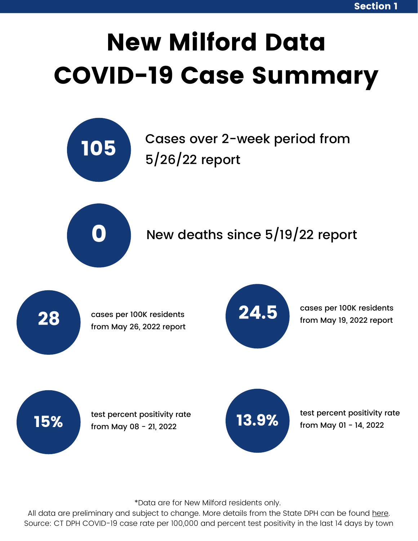# New Milford Data COVID-19 Case Summary



### Cases over 2-week period from 5/26/22 report





cases per 100K residents from May 26, 2022 report



cases per 100K residents from May 19, 2022 report

15%

test percent positivity rate from May 08 - 21, 2022



test percent positivity rate from May 01 - 14, 2022

\*Data are for New Milford residents only.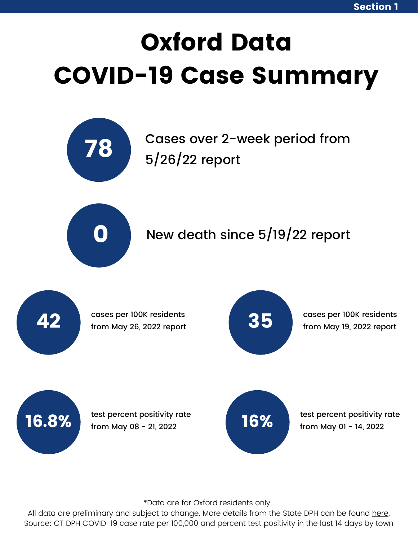# Oxford Data COVID-19 Case Summary



Cases over 2-week period from 5/26/22 report



#### New death since 5/19/22 report



\*Data are for Oxford residents only.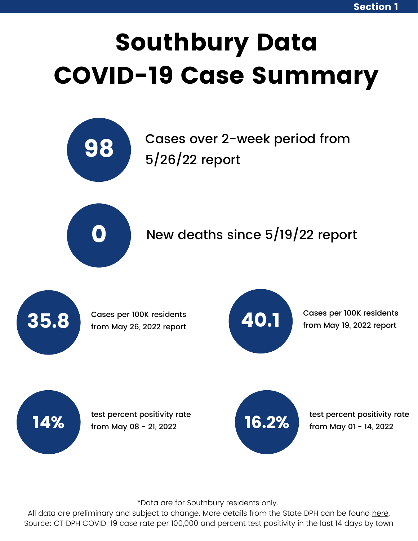# Southbury Data COVID-19 Case Summary



Cases over 2-week period from 5/26/22 report



#### New deaths since 5/19/22 report



Cases per 100K residents from May 26, 2022 report



Cases per 100K residents from May 19, 2022 report



test percent positivity rate from May 08 - 21, 2022



test percent positivity rate from May 01 - 14, 2022

\*Data are for Southbury residents only.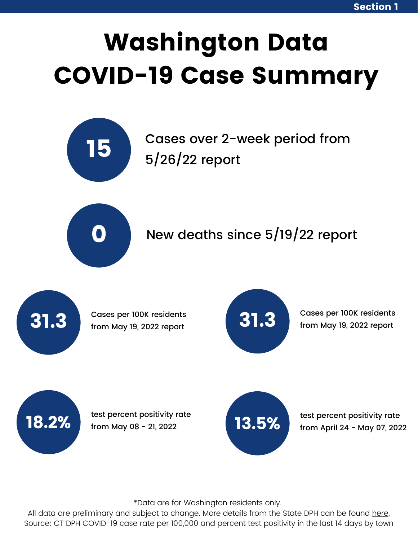# Washington Data COVID-19 Case Summary



Cases over 2-week period from 5/26/22 report



#### New deaths since 5/19/22 report



Cases per 100K residents from May 19, 2022 report



Cases per 100K residents from May 19, 2022 report



test percent positivity rate from May 08 - 21, 2022  $\sim$  13.5%



test percent positivity rate from April 24 - May 07, 2022

\*Data are for Washington residents only.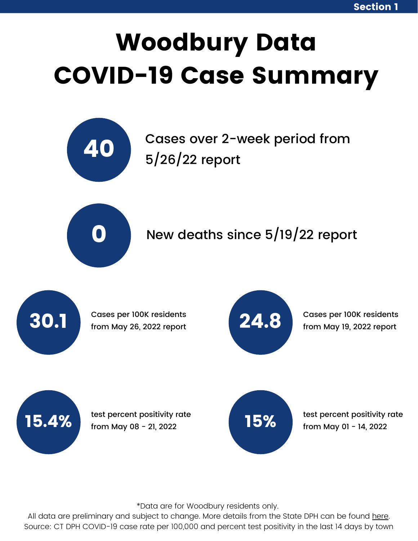# Woodbury Data COVID-19 Case Summary



Cases over 2-week period from 5/26/22 report



#### New deaths since 5/19/22 report



Cases per 100K residents from May 26, 2022 report



Cases per 100K residents from May 19, 2022 report

15.4%

test percent positivity rate from May 08 - 21, 2022



test percent positivity rate from May 01 - 14, 2022

\*Data are for Woodbury residents only.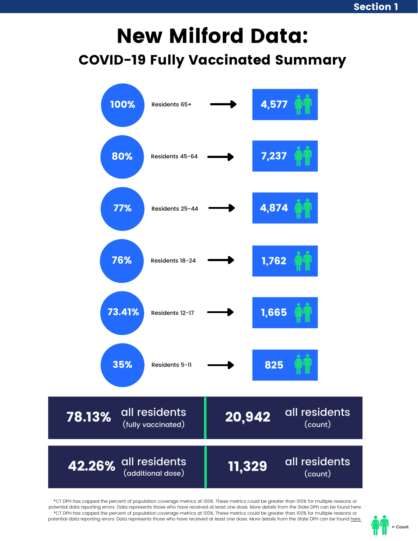### New Milford Data: COVID-19 Fully Vaccinated Summary

| 100%<br>Residents 65+                         |        | 4,577                    |
|-----------------------------------------------|--------|--------------------------|
| 80%<br>Residents 45-64                        |        | 7,237                    |
| 77%<br>Residents 25-44                        |        | 4,874                    |
| 76%<br>Residents 18-24                        |        | 1,762                    |
| 73.41%<br>Residents 12-17                     |        | 1,665                    |
| 35%<br>Residents 5-11                         |        | 825                      |
| all residents<br>78.13%<br>(fully vaccinated) | 20,942 | all residents<br>(count) |
| all residents<br>42.26%<br>(additional dose)  | 11,329 | all residents<br>(count) |

\*CT DPH has capped the percent of population coverage metrics at 100%. These metrics could be greater than 100% for multiple reasons or potential data reporting errors. Data represents those who have received at least one dose. More details from the State DPH can be found here. \*CT DPH has capped the percent of population coverage metrics at 100%. These metrics could be greater than 100% for multiple reasons or potential data reporting errors. Data represents those who have received at least one dose. More details from the State DPH can be found [here.](https://data.ct.gov/Health-and-Human-Services/COVID-19-Vaccinations-by-Town-and-Age-Group/gngw-ukpw)

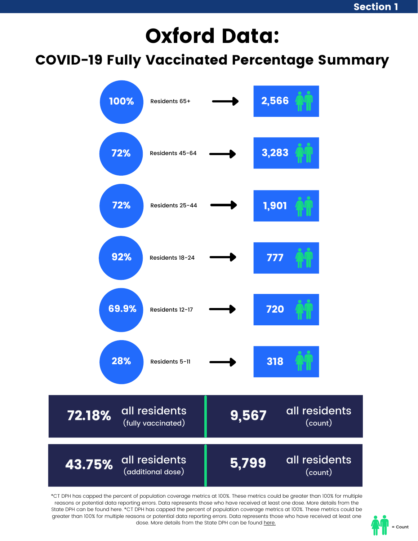## Oxford Data:

#### COVID-19 Fully Vaccinated Percentage Summary



\*CT DPH has capped the percent of population coverage metrics at 100%. These metrics could be greater than 100% for multiple reasons or potential data reporting errors. Data represents those who have received at least one dose. More details from the State DPH can be found here. \*CT DPH has capped the percent of population coverage metrics at 100%. These metrics could be greater than 100% for multiple reasons or potential data reporting errors. Data represents those who have received at least one dose. More details from the State DPH can be found [here.](https://data.ct.gov/Health-and-Human-Services/COVID-19-Vaccinations-by-Town-and-Age-Group/gngw-ukpw)

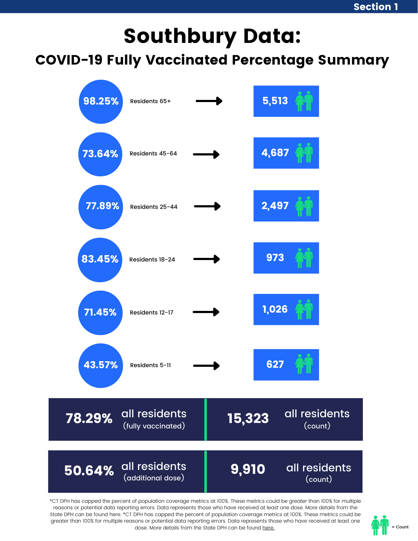### Southbury Data:

COVID-19 Fully Vaccinated Percentage Summary



\*CT DPH has capped the percent of population coverage metrics at 100%. These metrics could be greater than 100% for multiple reasons or potential data reporting errors. Data represents those who have received at least one dose. More details from the State DPH can be found here. \*CT DPH has capped the percent of population coverage metrics at 100%. These metrics could be greater than 100% for multiple reasons or potential data reporting errors. Data represents those who have received at least one dose. More details from the State DPH can be found [here.](https://data.ct.gov/Health-and-Human-Services/COVID-19-Vaccinations-by-Town-and-Age-Group/gngw-ukpw)

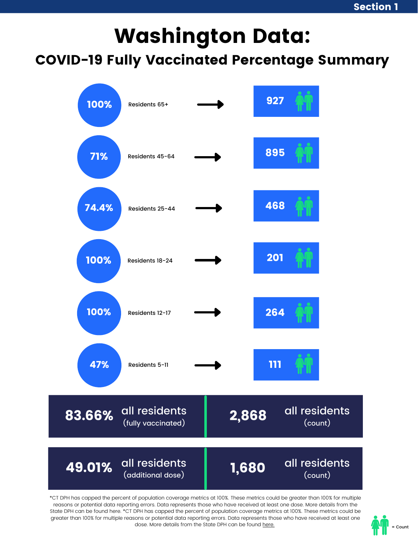## Washington Data:

COVID-19 Fully Vaccinated Percentage Summary



\*CT DPH has capped the percent of population coverage metrics at 100%. These metrics could be greater than 100% for multiple reasons or potential data reporting errors. Data represents those who have received at least one dose. More details from the State DPH can be found here. \*CT DPH has capped the percent of population coverage metrics at 100%. These metrics could be greater than 100% for multiple reasons or potential data reporting errors. Data represents those who have received at least one dose. More details from the State DPH can be found [here.](https://data.ct.gov/Health-and-Human-Services/COVID-19-Vaccinations-by-Town-and-Age-Group/gngw-ukpw)

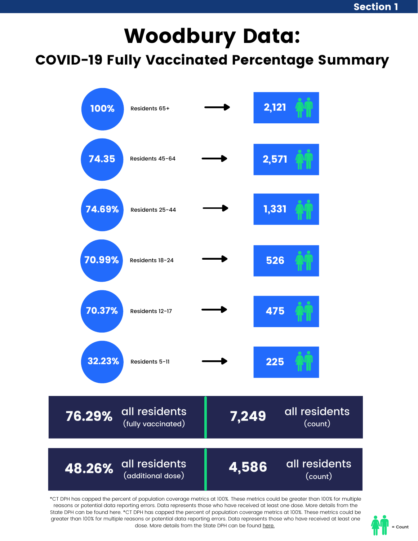## Woodbury Data:

#### COVID-19 Fully Vaccinated Percentage Summary



\*CT DPH has capped the percent of population coverage metrics at 100%. These metrics could be greater than 100% for multiple reasons or potential data reporting errors. Data represents those who have received at least one dose. More details from the State DPH can be found here. \*CT DPH has capped the percent of population coverage metrics at 100%. These metrics could be greater than 100% for multiple reasons or potential data reporting errors. Data represents those who have received at least one dose. More details from the State DPH can be found [here.](https://data.ct.gov/Health-and-Human-Services/COVID-19-Vaccinations-by-Town-and-Age-Group/gngw-ukpw)

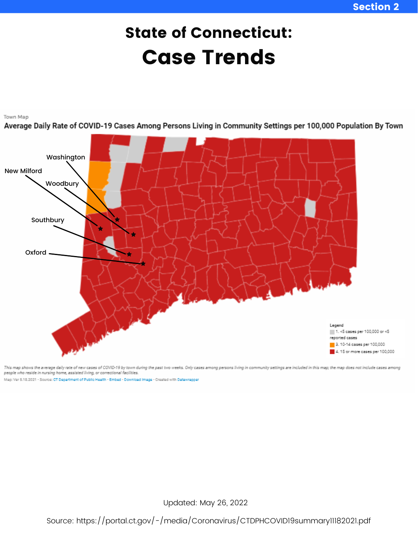### State of Connecticut: Case Trends



This map shows the average daily rate of new cases of COVID-19 by town during the past two weeks. Only cases among persons living in community settings are included in this map; the map does not include cases among people who reside in nursing home, assisted living, or correctional facilities.

Man: Ver 5.18.2021 - Source: CT Department of Public Health - Embed - Download Image - Created with Datawrapper

Updated: May 26, 2022

Source: <https://portal.ct.gov/-/media/Coronavirus/CTDPHCOVID19summary11182021.pdf>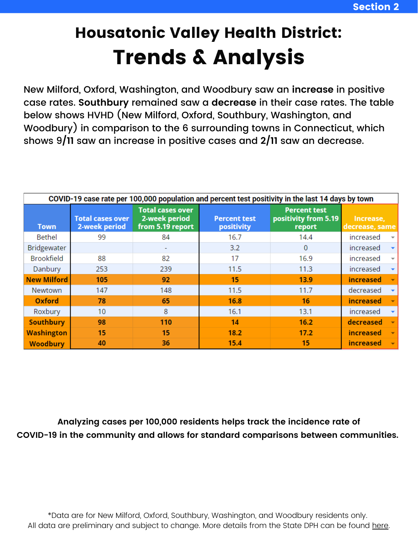### Housatonic Valley Health District: Trends & Analysis

New Milford, Oxford, Washington, and Woodbury saw an **increase** in positive case rates. **Southbury** remained saw a **decrease** in their case rates. The table below shows HVHD (New Milford, Oxford, Southbury, Washington, and Woodbury) in comparison to the 6 surrounding towns in Connecticut, which shows 9**/11** saw an increase in positive cases and **2/11** saw an decrease.

| COVID-19 case rate per 100,000 population and percent test positivity in the last 14 days by town |                                          |                                                              |                                   |                                                       |                                       |  |  |
|---------------------------------------------------------------------------------------------------|------------------------------------------|--------------------------------------------------------------|-----------------------------------|-------------------------------------------------------|---------------------------------------|--|--|
| <b>Town</b>                                                                                       | <b>Total cases over</b><br>2-week period | <b>Total cases over</b><br>2-week period<br>from 5.19 report | <b>Percent test</b><br>positivity | <b>Percent test</b><br>positivity from 5.19<br>report | Increase,<br>decrease, same           |  |  |
| <b>Bethel</b>                                                                                     | 99                                       | 84                                                           | 16.7                              | 14.4                                                  | increased                             |  |  |
| Bridgewater                                                                                       |                                          |                                                              | 3.2                               | 0                                                     | increased                             |  |  |
| <b>Brookfield</b>                                                                                 | 88                                       | 82                                                           | 17                                | 16.9                                                  | increased<br>$\overline{\phantom{a}}$ |  |  |
| Danbury                                                                                           | 253                                      | 239                                                          | 11.5                              | 11.3                                                  | increased                             |  |  |
| <b>New Milford</b>                                                                                | 105                                      | 92                                                           | 15                                | 13.9                                                  | <b>increased</b>                      |  |  |
| Newtown                                                                                           | 147                                      | 148                                                          | 11.5                              | 11.7                                                  | decreased                             |  |  |
| Oxford                                                                                            | 78                                       | 65                                                           | 16.8                              | 16                                                    | <b>increased</b>                      |  |  |
| Roxbury                                                                                           | 10                                       | 8                                                            | 16.1                              | 13.1                                                  | increased                             |  |  |
| <b>Southbury</b>                                                                                  | 98                                       | 110                                                          | 14                                | 16.2                                                  | decreased                             |  |  |
| <b>Washington</b>                                                                                 | 15                                       | 15                                                           | 18.2                              | 17.2                                                  | <i>increased</i>                      |  |  |
| <b>Woodbury</b>                                                                                   | 40                                       | 36                                                           | 15.4                              | 15                                                    | <i>increased</i>                      |  |  |

**Analyzing cases per 100,000 residents helps track the incidence rate of COVID-19 in the community and allows for standard comparisons between communities.**

\*Data are for New Milford, Oxford, Southbury, Washington, and Woodbury residents only. All data are preliminary and subject to change. More details from the State DPH can be found [here](https://data.ct.gov/Health-and-Human-Services/COVID-19-case-rate-per-100-000-population-and-perc/hree-nys2).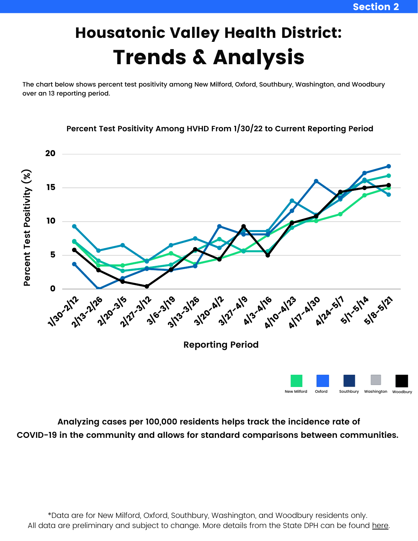New Milford Oxford Southbury Washington Woodbury

## Housatonic Valley Health District: Trends & Analysis

The chart below shows percent test positivity among New Milford, Oxford, Southbury, Washington, and Woodbury over an 13 reporting period.



**Percent Test Positivity Among HVHD From 1/30/22 to Current Reporting Period**

**Analyzing cases per 100,000 residents helps track the incidence rate of COVID-19 in the community and allows for standard comparisons between communities.**

\*Data are for New Milford, Oxford, Southbury, Washington, and Woodbury residents only. All data are preliminary and subject to change. More details from the State DPH can be found [here](https://data.ct.gov/Health-and-Human-Services/COVID-19-case-rate-per-100-000-population-and-perc/hree-nys2).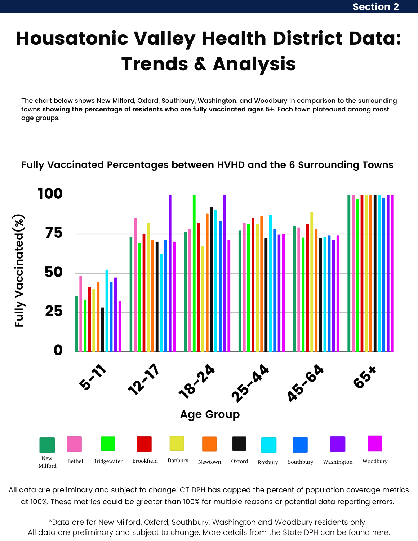## Housatonic Valley Health District Data: Trends & Analysis

The chart below shows New Milford, Oxford, Southbury, Washington, and Woodbury in comparison to the surrounding towns **showing the percentage of residents who are fully vaccinated ages 5+.** Each town plateaued among most age groups.

#### **Fully Vaccinated Percentages between HVHD and the 6 Surrounding Towns**



All data are preliminary and subject to change. CT DPH has capped the percent of population coverage metrics at 100%. These metrics could be greater than 100% for multiple reasons or potential data reporting errors.

\*Data are for New Milford, Oxford, Southbury, Washington and Woodbury residents only. All data are preliminary and subject to change. More details from the State DPH can be found [here](https://data.ct.gov/Health-and-Human-Services/COVID-19-case-rate-per-100-000-population-and-perc/hree-nys2).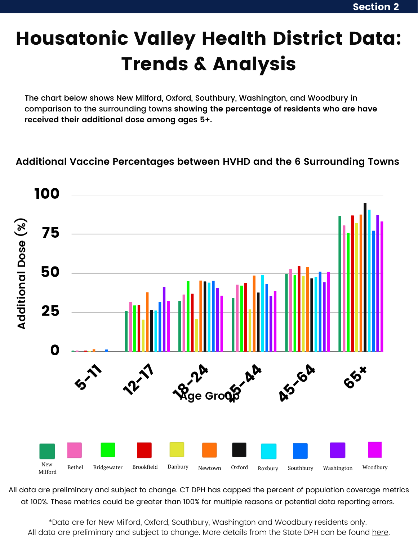## Housatonic Valley Health District Data: Trends & Analysis

The chart below shows New Milford, Oxford, Southbury, Washington, and Woodbury in comparison to the surrounding towns **showing the percentage of residents who are have received their additional dose among ages 5+.**

#### **Additional Vaccine Percentages between HVHD and the 6 Surrounding Towns**



All data are preliminary and subject to change. CT DPH has capped the percent of population coverage metrics at 100%. These metrics could be greater than 100% for multiple reasons or potential data reporting errors.

\*Data are for New Milford, Oxford, Southbury, Washington and Woodbury residents only. All data are preliminary and subject to change. More details from the State DPH can be found [here](https://data.ct.gov/Health-and-Human-Services/COVID-19-case-rate-per-100-000-population-and-perc/hree-nys2).